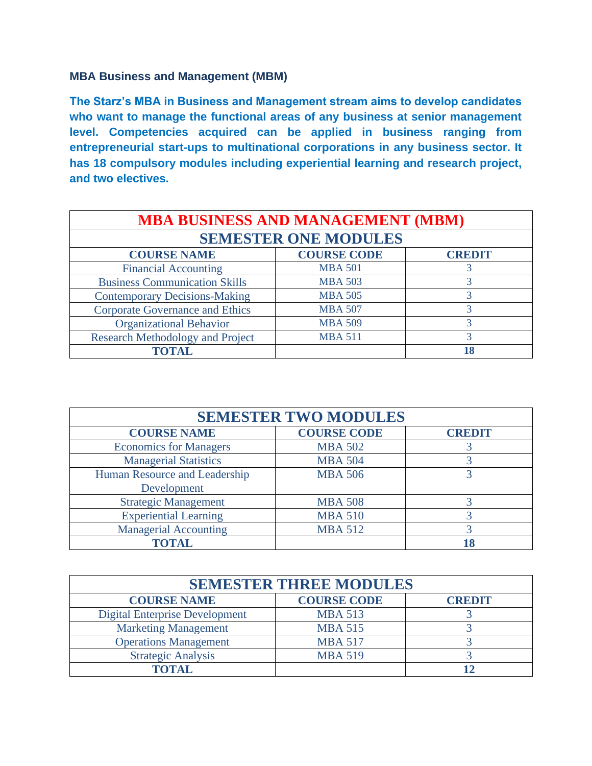# **MBA Business and Management (MBM)**

**The Starz's MBA in Business and Management stream aims to develop candidates who want to manage the functional areas of any business at senior management level. Competencies acquired can be applied in business ranging from entrepreneurial start-ups to multinational corporations in any business sector. It has 18 compulsory modules including experiential learning and research project, and two electives.** 

| <b>MBA BUSINESS AND MANAGEMENT (MBM)</b><br><b>SEMESTER ONE MODULES</b> |                |    |
|-------------------------------------------------------------------------|----------------|----|
|                                                                         |                |    |
| <b>Financial Accounting</b>                                             | <b>MBA 501</b> |    |
| <b>Business Communication Skills</b>                                    | <b>MBA 503</b> | 3  |
| <b>Contemporary Decisions-Making</b>                                    | <b>MBA 505</b> | 3  |
| <b>Corporate Governance and Ethics</b>                                  | <b>MBA 507</b> | 3  |
| <b>Organizational Behavior</b>                                          | <b>MBA 509</b> | 3  |
| <b>Research Methodology and Project</b>                                 | <b>MBA 511</b> | 3  |
| <b>TOTAL</b>                                                            |                | 18 |

| <b>SEMESTER TWO MODULES</b>   |                    |               |
|-------------------------------|--------------------|---------------|
| <b>COURSE NAME</b>            | <b>COURSE CODE</b> | <b>CREDIT</b> |
| <b>Economics for Managers</b> | <b>MBA 502</b>     |               |
| <b>Managerial Statistics</b>  | <b>MBA 504</b>     |               |
| Human Resource and Leadership | <b>MBA 506</b>     |               |
| Development                   |                    |               |
| <b>Strategic Management</b>   | <b>MBA 508</b>     |               |
| <b>Experiential Learning</b>  | <b>MBA 510</b>     |               |
| <b>Managerial Accounting</b>  | <b>MBA 512</b>     |               |
| <b>TOTAL</b>                  |                    | 18            |

| <b>SEMESTER THREE MODULES</b>         |                    |               |
|---------------------------------------|--------------------|---------------|
| <b>COURSE NAME</b>                    | <b>COURSE CODE</b> | <b>CREDIT</b> |
| <b>Digital Enterprise Development</b> | <b>MBA 513</b>     |               |
| <b>Marketing Management</b>           | <b>MBA 515</b>     |               |
| <b>Operations Management</b>          | <b>MBA 517</b>     |               |
| <b>Strategic Analysis</b>             | <b>MBA 519</b>     |               |
| TOTAL                                 |                    |               |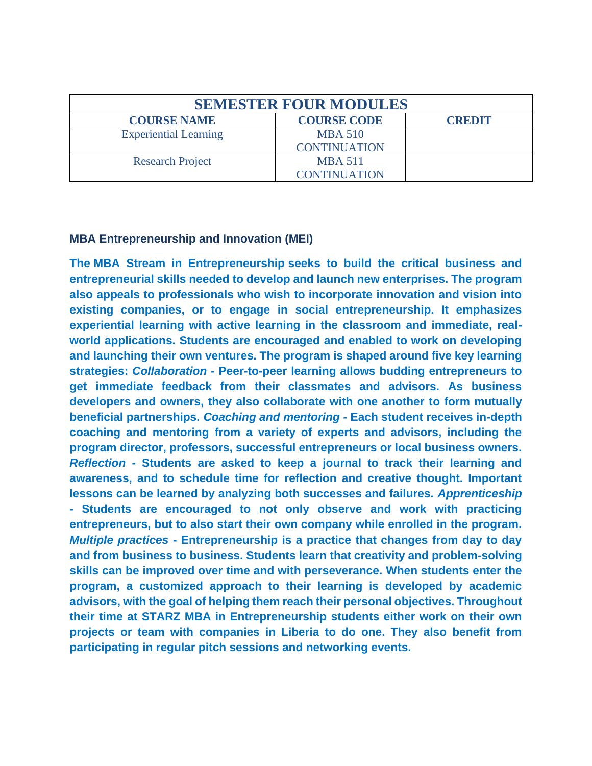| <b>SEMESTER FOUR MODULES</b> |                                       |               |
|------------------------------|---------------------------------------|---------------|
| <b>COURSE NAME</b>           | <b>COURSE CODE</b>                    | <b>CREDIT</b> |
| <b>Experiential Learning</b> | <b>MBA 510</b><br><b>CONTINUATION</b> |               |
| <b>Research Project</b>      | <b>MBA 511</b><br><b>CONTINUATION</b> |               |

#### **MBA Entrepreneurship and Innovation (MEI)**

**The MBA Stream in Entrepreneurship seeks to build the critical business and entrepreneurial skills needed to develop and launch new enterprises. The program also appeals to professionals who wish to incorporate innovation and vision into existing companies, or to engage in social entrepreneurship. It emphasizes experiential learning with active learning in the classroom and immediate, realworld applications. Students are encouraged and enabled to work on developing and launching their own ventures. The program is shaped around five key learning strategies:** *Collaboration* **- Peer-to-peer learning allows budding entrepreneurs to get immediate feedback from their classmates and advisors. As business developers and owners, they also collaborate with one another to form mutually beneficial partnerships.** *Coaching and mentoring -* **Each student receives in-depth coaching and mentoring from a variety of experts and advisors, including the program director, professors, successful entrepreneurs or local business owners.**  *Reflection* **- Students are asked to keep a journal to track their learning and awareness, and to schedule time for reflection and creative thought. Important lessons can be learned by analyzing both successes and failures.** *Apprenticeship* **- Students are encouraged to not only observe and work with practicing entrepreneurs, but to also start their own company while enrolled in the program.**  *Multiple practices* **- Entrepreneurship is a practice that changes from day to day and from business to business. Students learn that creativity and problem-solving skills can be improved over time and with perseverance. When students enter the program, a customized approach to their learning is developed by academic advisors, with the goal of helping them reach their personal objectives. Throughout their time at STARZ MBA in Entrepreneurship students either work on their own projects or team with companies in Liberia to do one. They also benefit from participating in regular pitch sessions and networking events.**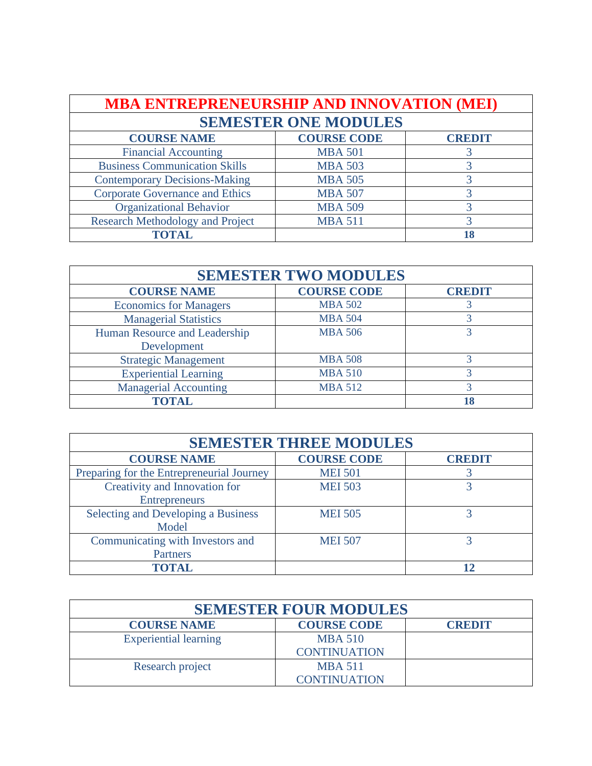| <b>MBA ENTREPRENEURSHIP AND INNOVATION (MEI)</b> |                    |               |
|--------------------------------------------------|--------------------|---------------|
| <b>SEMESTER ONE MODULES</b>                      |                    |               |
| <b>COURSE NAME</b>                               | <b>COURSE CODE</b> | <b>CREDIT</b> |
| <b>Financial Accounting</b>                      | <b>MBA 501</b>     |               |
| <b>Business Communication Skills</b>             | <b>MBA 503</b>     |               |
| <b>Contemporary Decisions-Making</b>             | <b>MBA 505</b>     |               |
| <b>Corporate Governance and Ethics</b>           | <b>MBA 507</b>     |               |
| <b>Organizational Behavior</b>                   | <b>MBA 509</b>     |               |
| <b>Research Methodology and Project</b>          | <b>MBA 511</b>     | 3             |
| <b>TOTAL</b>                                     |                    | 18            |

| <b>SEMESTER TWO MODULES</b>   |                    |               |
|-------------------------------|--------------------|---------------|
| <b>COURSE NAME</b>            | <b>COURSE CODE</b> | <b>CREDIT</b> |
| <b>Economics for Managers</b> | <b>MBA 502</b>     |               |
| <b>Managerial Statistics</b>  | <b>MBA 504</b>     |               |
| Human Resource and Leadership | <b>MBA 506</b>     |               |
| Development                   |                    |               |
| <b>Strategic Management</b>   | <b>MBA 508</b>     |               |
| <b>Experiential Learning</b>  | <b>MBA 510</b>     |               |
| <b>Managerial Accounting</b>  | <b>MBA 512</b>     |               |
| <b>TOTAL</b>                  |                    | 18            |

| <b>SEMESTER THREE MODULES</b>             |                    |               |
|-------------------------------------------|--------------------|---------------|
| <b>COURSE NAME</b>                        | <b>COURSE CODE</b> | <b>CREDIT</b> |
| Preparing for the Entrepreneurial Journey | <b>MEI 501</b>     |               |
| Creativity and Innovation for             | <b>MEI 503</b>     |               |
| <b>Entrepreneurs</b>                      |                    |               |
| Selecting and Developing a Business       | <b>MEI 505</b>     |               |
| Model                                     |                    |               |
| Communicating with Investors and          | <b>MEI 507</b>     |               |
| <b>Partners</b>                           |                    |               |
| <b>TOTAL</b>                              |                    |               |

| <b>SEMESTER FOUR MODULES</b> |                     |               |
|------------------------------|---------------------|---------------|
| <b>COURSE NAME</b>           | <b>COURSE CODE</b>  | <b>CREDIT</b> |
| <b>Experiential learning</b> | <b>MBA 510</b>      |               |
|                              | <b>CONTINUATION</b> |               |
| Research project             | <b>MBA 511</b>      |               |
|                              | <b>CONTINUATION</b> |               |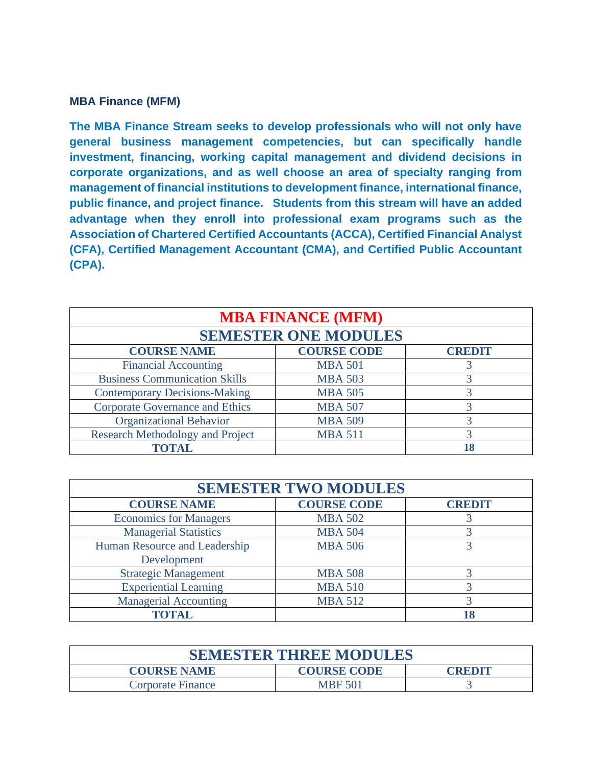#### **MBA Finance (MFM)**

**The MBA Finance Stream seeks to develop professionals who will not only have general business management competencies, but can specifically handle investment, financing, working capital management and dividend decisions in corporate organizations, and as well choose an area of specialty ranging from management of financial institutions to development finance, international finance, public finance, and project finance. Students from this stream will have an added advantage when they enroll into professional exam programs such as the Association of Chartered Certified Accountants (ACCA), Certified Financial Analyst (CFA), Certified Management Accountant (CMA), and Certified Public Accountant (CPA).** 

| <b>MBA FINANCE (MFM)</b><br><b>SEMESTER ONE MODULES</b> |                |    |
|---------------------------------------------------------|----------------|----|
|                                                         |                |    |
| <b>Financial Accounting</b>                             | <b>MBA 501</b> |    |
| <b>Business Communication Skills</b>                    | <b>MBA 503</b> |    |
| <b>Contemporary Decisions-Making</b>                    | <b>MBA 505</b> |    |
| <b>Corporate Governance and Ethics</b>                  | <b>MBA 507</b> |    |
| <b>Organizational Behavior</b>                          | <b>MBA 509</b> |    |
| <b>Research Methodology and Project</b>                 | <b>MBA 511</b> |    |
| <b>TOTAL</b>                                            |                | 18 |

| <b>SEMESTER TWO MODULES</b>   |                    |               |
|-------------------------------|--------------------|---------------|
| <b>COURSE NAME</b>            | <b>COURSE CODE</b> | <b>CREDIT</b> |
| <b>Economics for Managers</b> | <b>MBA 502</b>     |               |
| <b>Managerial Statistics</b>  | <b>MBA 504</b>     |               |
| Human Resource and Leadership | <b>MBA 506</b>     |               |
| Development                   |                    |               |
| <b>Strategic Management</b>   | <b>MBA 508</b>     |               |
| <b>Experiential Learning</b>  | <b>MBA 510</b>     |               |
| <b>Managerial Accounting</b>  | <b>MBA 512</b>     |               |
| <b>TOTAL</b>                  |                    |               |

| <b>SEMESTER THREE MODULES</b>                             |                |  |  |
|-----------------------------------------------------------|----------------|--|--|
| <b>COURSE NAME</b><br><b>COURSE CODE</b><br><b>CREDIT</b> |                |  |  |
| <b>Corporate Finance</b>                                  | <b>MBF 501</b> |  |  |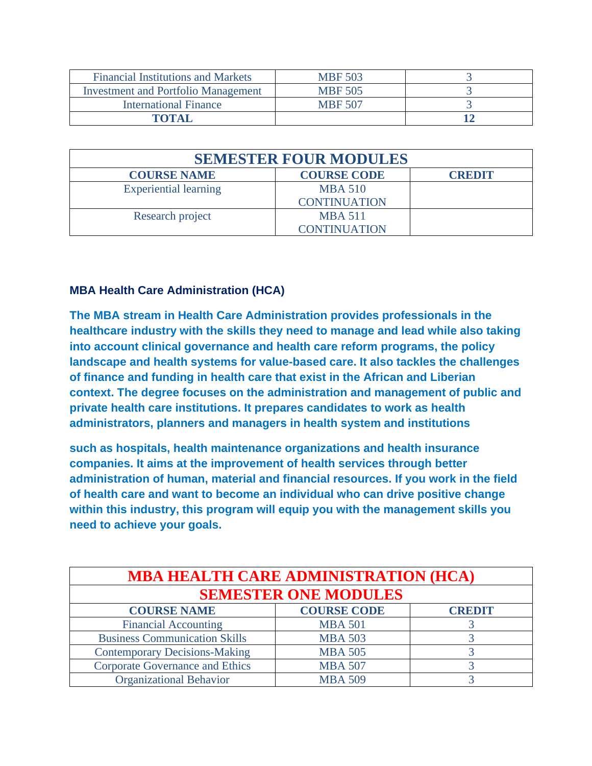| <b>Financial Institutions and Markets</b>  | <b>MBF 503</b> |  |
|--------------------------------------------|----------------|--|
| <b>Investment and Portfolio Management</b> | <b>MBF 505</b> |  |
| <b>International Finance</b>               | <b>MBF 507</b> |  |
| ТОТАІ                                      |                |  |

| <b>SEMESTER FOUR MODULES</b> |                     |               |
|------------------------------|---------------------|---------------|
| <b>COURSE NAME</b>           | <b>COURSE CODE</b>  | <b>CREDIT</b> |
| <b>Experiential learning</b> | <b>MBA 510</b>      |               |
|                              | <b>CONTINUATION</b> |               |
| Research project             | <b>MBA 511</b>      |               |
|                              | <b>CONTINUATION</b> |               |

### **MBA Health Care Administration (HCA)**

**The MBA stream in Health Care Administration provides professionals in the healthcare industry with the skills they need to manage and lead while also taking into account clinical governance and health care reform programs, the policy landscape and health systems for value-based care. It also tackles the challenges of finance and funding in health care that exist in the African and Liberian context. The degree focuses on the administration and management of public and private health care institutions. It prepares candidates to work as health administrators, planners and managers in health system and institutions**

**such as hospitals, health maintenance organizations and health insurance companies. It aims at the improvement of health services through better administration of human, material and financial resources. If you work in the field of health care and want to become an individual who can drive positive change within this industry, this program will equip you with the management skills you need to achieve your goals.**

| <b>MBA HEALTH CARE ADMINISTRATION (HCA)</b> |                    |               |
|---------------------------------------------|--------------------|---------------|
| <b>SEMESTER ONE MODULES</b>                 |                    |               |
| <b>COURSE NAME</b>                          | <b>COURSE CODE</b> | <b>CREDIT</b> |
| <b>Financial Accounting</b>                 | <b>MBA 501</b>     |               |
| <b>Business Communication Skills</b>        | <b>MBA 503</b>     |               |
| <b>Contemporary Decisions-Making</b>        | <b>MBA 505</b>     |               |
| <b>Corporate Governance and Ethics</b>      | <b>MBA 507</b>     |               |
| <b>Organizational Behavior</b>              | <b>MBA 509</b>     |               |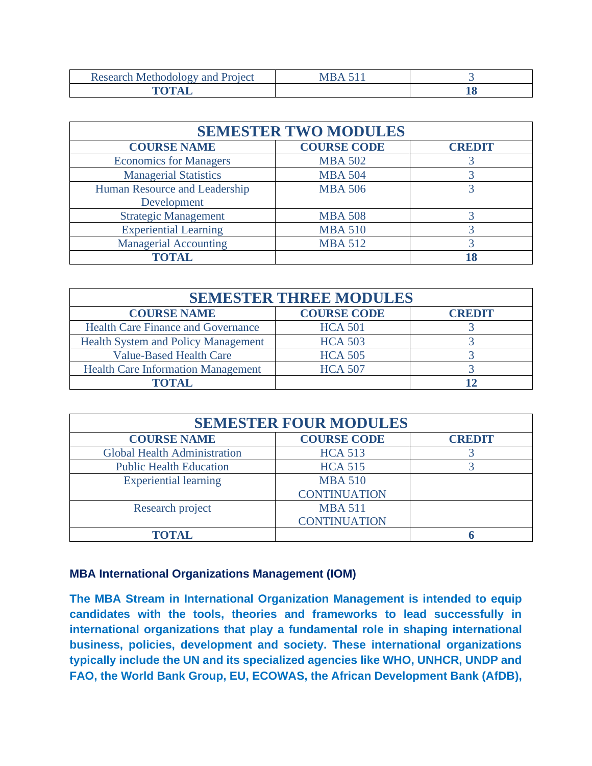| Research<br><i>roject</i><br>- Meinoc |          |
|---------------------------------------|----------|
|                                       | дο<br>__ |

| <b>SEMESTER TWO MODULES</b>   |                    |               |
|-------------------------------|--------------------|---------------|
| <b>COURSE NAME</b>            | <b>COURSE CODE</b> | <b>CREDIT</b> |
| <b>Economics for Managers</b> | <b>MBA 502</b>     |               |
| <b>Managerial Statistics</b>  | <b>MBA 504</b>     |               |
| Human Resource and Leadership | <b>MBA 506</b>     |               |
| Development                   |                    |               |
| <b>Strategic Management</b>   | <b>MBA 508</b>     |               |
| <b>Experiential Learning</b>  | <b>MBA 510</b>     |               |
| <b>Managerial Accounting</b>  | <b>MBA 512</b>     |               |
| <b>TOTAL</b>                  |                    |               |

| <b>SEMESTER THREE MODULES</b>              |                    |               |  |
|--------------------------------------------|--------------------|---------------|--|
| <b>COURSE NAME</b>                         | <b>COURSE CODE</b> | <b>CREDIT</b> |  |
| <b>Health Care Finance and Governance</b>  | <b>HCA 501</b>     |               |  |
| <b>Health System and Policy Management</b> | <b>HCA 503</b>     |               |  |
| <b>Value-Based Health Care</b>             | <b>HCA 505</b>     |               |  |
| <b>Health Care Information Management</b>  | <b>HCA 507</b>     |               |  |
| <b>FOTAL</b>                               |                    |               |  |

| <b>SEMESTER FOUR MODULES</b>        |                     |               |
|-------------------------------------|---------------------|---------------|
| <b>COURSE NAME</b>                  | <b>COURSE CODE</b>  | <b>CREDIT</b> |
| <b>Global Health Administration</b> | <b>HCA 513</b>      |               |
| <b>Public Health Education</b>      | <b>HCA 515</b>      |               |
| <b>Experiential learning</b>        | <b>MBA 510</b>      |               |
|                                     | <b>CONTINUATION</b> |               |
| Research project                    | <b>MBA 511</b>      |               |
|                                     | <b>CONTINUATION</b> |               |
| TOTAL                               |                     |               |

## **MBA International Organizations Management (IOM)**

**The MBA Stream in International Organization Management is intended to equip candidates with the tools, theories and frameworks to lead successfully in international organizations that play a fundamental role in shaping international business, policies, development and society. These international organizations typically include the UN and its specialized agencies like WHO, UNHCR, UNDP and FAO, the World Bank Group, EU, ECOWAS, the African Development Bank (AfDB),**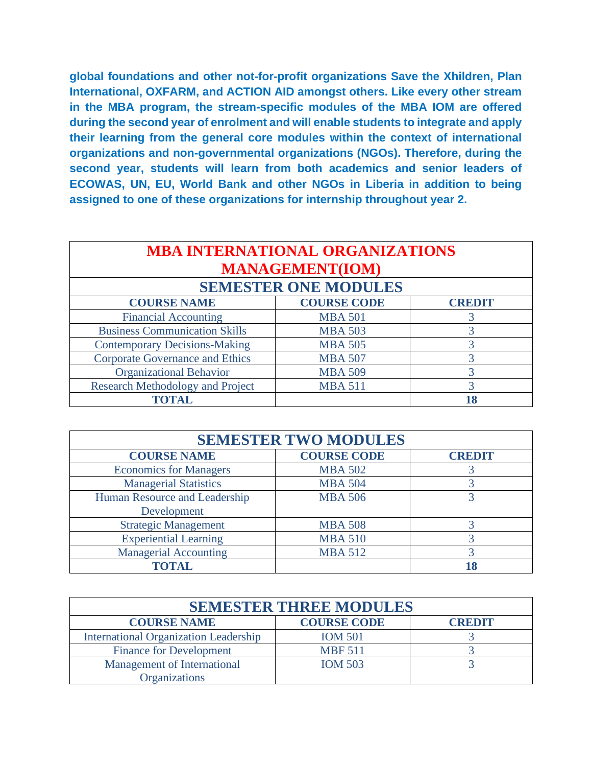**global foundations and other not-for-profit organizations Save the Xhildren, Plan International, OXFARM, and ACTION AID amongst others. Like every other stream in the MBA program, the stream-specific modules of the MBA IOM are offered during the second year of enrolment and will enable students to integrate and apply their learning from the general core modules within the context of international organizations and non-governmental organizations (NGOs). Therefore, during the second year, students will learn from both academics and senior leaders of ECOWAS, UN, EU, World Bank and other NGOs in Liberia in addition to being assigned to one of these organizations for internship throughout year 2.** 

| <b>MBA INTERNATIONAL ORGANIZATIONS</b><br><b>MANAGEMENT(IOM)</b> |                    |               |
|------------------------------------------------------------------|--------------------|---------------|
| <b>SEMESTER ONE MODULES</b>                                      |                    |               |
| <b>COURSE NAME</b>                                               | <b>COURSE CODE</b> | <b>CREDIT</b> |
| <b>Financial Accounting</b>                                      | <b>MBA 501</b>     |               |
| <b>Business Communication Skills</b>                             | <b>MBA 503</b>     |               |
| <b>Contemporary Decisions-Making</b>                             | <b>MBA 505</b>     |               |
| <b>Corporate Governance and Ethics</b>                           | <b>MBA 507</b>     | 3             |
| <b>Organizational Behavior</b>                                   | <b>MBA 509</b>     |               |
| <b>Research Methodology and Project</b>                          | <b>MBA 511</b>     |               |
| <b>TOTAL</b>                                                     |                    |               |

| <b>SEMESTER TWO MODULES</b>   |                    |               |
|-------------------------------|--------------------|---------------|
| <b>COURSE NAME</b>            | <b>COURSE CODE</b> | <b>CREDIT</b> |
| <b>Economics for Managers</b> | <b>MBA 502</b>     |               |
| <b>Managerial Statistics</b>  | <b>MBA 504</b>     |               |
| Human Resource and Leadership | <b>MBA 506</b>     |               |
| Development                   |                    |               |
| <b>Strategic Management</b>   | <b>MBA 508</b>     |               |
| <b>Experiential Learning</b>  | <b>MBA 510</b>     |               |
| <b>Managerial Accounting</b>  | <b>MBA 512</b>     |               |
| <b>TOTAL</b>                  |                    |               |

| <b>SEMESTER THREE MODULES</b>                |                    |               |
|----------------------------------------------|--------------------|---------------|
| <b>COURSE NAME</b>                           | <b>COURSE CODE</b> | <b>CREDIT</b> |
| <b>International Organization Leadership</b> | <b>IOM 501</b>     |               |
| <b>Finance for Development</b>               | <b>MBF 511</b>     |               |
| <b>Management of International</b>           | <b>IOM 503</b>     |               |
| <b>Organizations</b>                         |                    |               |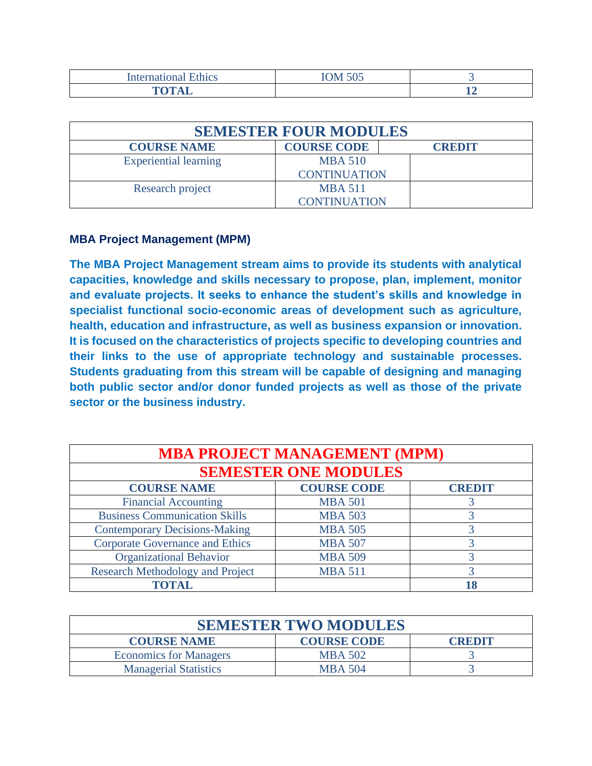| Intern?<br>1100<br>l v o         | $T \cap T$ $F \cap T$<br>JUJ |    |
|----------------------------------|------------------------------|----|
| $\mathbf{m}$ $\mathbf{m}$<br>___ |                              | -- |

| <b>SEMESTER FOUR MODULES</b> |                     |               |
|------------------------------|---------------------|---------------|
| <b>COURSE NAME</b>           | <b>COURSE CODE</b>  | <b>CREDIT</b> |
| <b>Experiential learning</b> | <b>MBA 510</b>      |               |
|                              | <b>CONTINUATION</b> |               |
| Research project             | <b>MBA 511</b>      |               |
|                              | <b>CONTINUATION</b> |               |

### **MBA Project Management (MPM)**

**The MBA Project Management stream aims to provide its students with analytical capacities, knowledge and skills necessary to propose, plan, implement, monitor and evaluate projects. It seeks to enhance the student's skills and knowledge in specialist functional socio-economic areas of development such as agriculture, health, education and infrastructure, as well as business expansion or innovation. It is focused on the characteristics of projects specific to developing countries and their links to the use of appropriate technology and sustainable processes. Students graduating from this stream will be capable of designing and managing both public sector and/or donor funded projects as well as those of the private sector or the business industry.** 

| <b>MBA PROJECT MANAGEMENT (MPM)</b>     |                    |               |
|-----------------------------------------|--------------------|---------------|
| <b>SEMESTER ONE MODULES</b>             |                    |               |
| <b>COURSE NAME</b>                      | <b>COURSE CODE</b> | <b>CREDIT</b> |
| <b>Financial Accounting</b>             | <b>MBA 501</b>     |               |
| <b>Business Communication Skills</b>    | <b>MBA 503</b>     |               |
| <b>Contemporary Decisions-Making</b>    | <b>MBA 505</b>     |               |
| <b>Corporate Governance and Ethics</b>  | <b>MBA 507</b>     |               |
| <b>Organizational Behavior</b>          | <b>MBA 509</b>     |               |
| <b>Research Methodology and Project</b> | <b>MBA 511</b>     |               |
| <b>TOTAL</b>                            |                    | 18            |

| <b>SEMESTER TWO MODULES</b>   |                    |               |
|-------------------------------|--------------------|---------------|
| <b>COURSE NAME</b>            | <b>COURSE CODE</b> | <b>CREDIT</b> |
| <b>Economics for Managers</b> | <b>MBA 502</b>     |               |
| <b>Managerial Statistics</b>  | <b>MBA 504</b>     |               |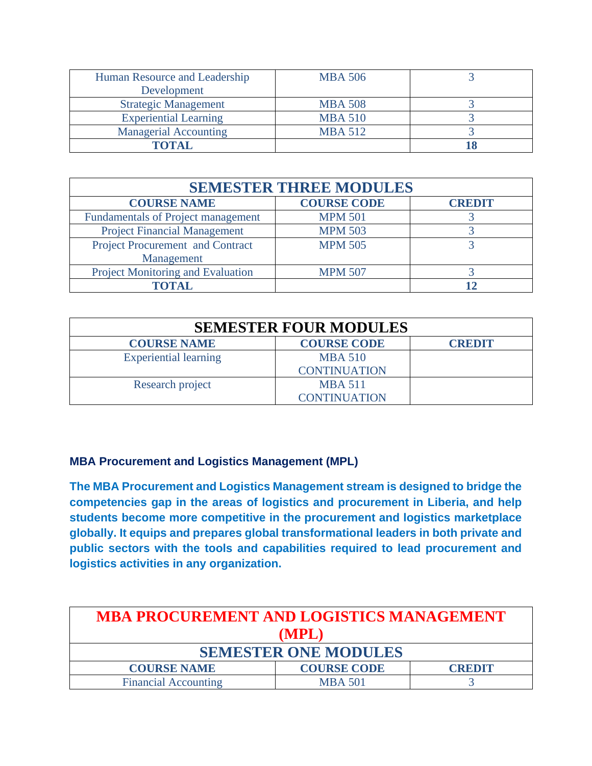| Human Resource and Leadership | <b>MBA 506</b> |  |
|-------------------------------|----------------|--|
| Development                   |                |  |
| <b>Strategic Management</b>   | <b>MBA 508</b> |  |
| <b>Experiential Learning</b>  | <b>MBA 510</b> |  |
| <b>Managerial Accounting</b>  | <b>MBA 512</b> |  |
| TOTAL.                        |                |  |

| <b>SEMESTER THREE MODULES</b>             |                    |               |
|-------------------------------------------|--------------------|---------------|
| <b>COURSE NAME</b>                        | <b>COURSE CODE</b> | <b>CREDIT</b> |
| <b>Fundamentals of Project management</b> | <b>MPM 501</b>     |               |
| <b>Project Financial Management</b>       | <b>MPM 503</b>     |               |
| Project Procurement and Contract          | <b>MPM 505</b>     |               |
| Management                                |                    |               |
| Project Monitoring and Evaluation         | <b>MPM 507</b>     |               |
| TOTAL                                     |                    |               |

| <b>SEMESTER FOUR MODULES</b> |                                       |               |
|------------------------------|---------------------------------------|---------------|
| <b>COURSE NAME</b>           | <b>COURSE CODE</b>                    | <b>CREDIT</b> |
| <b>Experiential learning</b> | <b>MBA 510</b><br><b>CONTINUATION</b> |               |
| Research project             | <b>MBA 511</b><br><b>CONTINUATION</b> |               |

## **MBA Procurement and Logistics Management (MPL)**

**The MBA Procurement and Logistics Management stream is designed to bridge the competencies gap in the areas of logistics and procurement in Liberia, and help students become more competitive in the procurement and logistics marketplace globally. It equips and prepares global transformational leaders in both private and public sectors with the tools and capabilities required to lead procurement and logistics activities in any organization.** 

| <b>MBA PROCUREMENT AND LOGISTICS MANAGEMENT</b> |                    |               |
|-------------------------------------------------|--------------------|---------------|
| (MPL)                                           |                    |               |
| <b>SEMESTER ONE MODULES</b>                     |                    |               |
| <b>COURSE NAME</b>                              | <b>COURSE CODE</b> | <b>CREDIT</b> |
| <b>Financial Accounting</b>                     | <b>MBA 501</b>     |               |